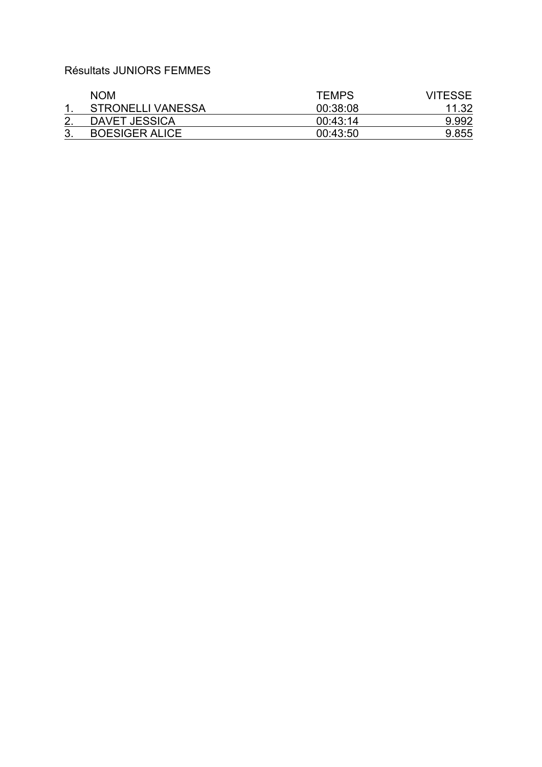## Résultats JUNIORS FEMMES

| <b>NOM</b>               | <b>TEMPS</b> | <b>VITESSE</b> |
|--------------------------|--------------|----------------|
| <b>STRONELLI VANESSA</b> | 00:38:08     | 11.32          |
| DAVET JESSICA            | 00:43:14     | 9.992          |
| <b>BOESIGER ALICE</b>    | 00:43:50     | 9.855          |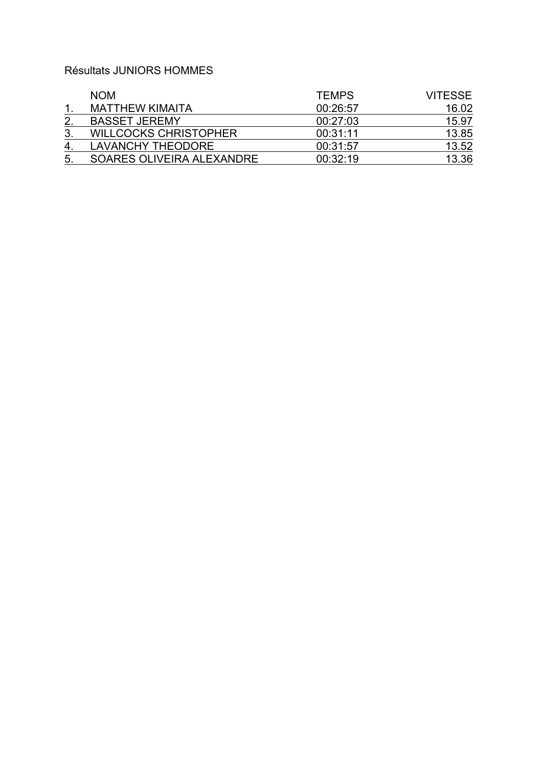## Résultats JUNIORS HOMMES

|    | <b>NOM</b>                   | <b>TEMPS</b> | <b>VITESSE</b> |
|----|------------------------------|--------------|----------------|
|    | <b>MATTHEW KIMAITA</b>       | 00:26:57     | 16.02          |
|    | <b>BASSET JEREMY</b>         | 00:27:03     | 15.97          |
| 3. | <b>WILLCOCKS CHRISTOPHER</b> | 00:31:11     | 13.85          |
| 4  | <b>LAVANCHY THEODORE</b>     | 00:31:57     | 13.52          |
| 5. | SOARES OLIVEIRA ALEXANDRE    | 00:32:19     | 13.36          |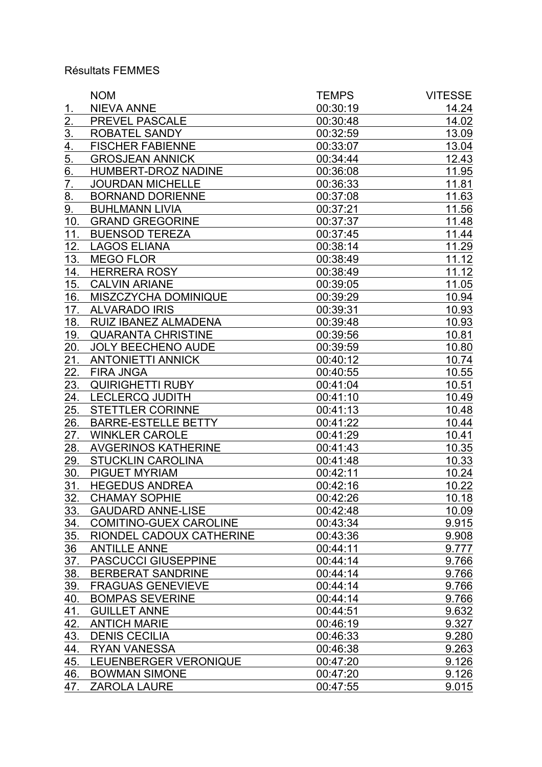## Résultats FEMMES

|                   | <b>NOM</b>                    | <b>TEMPS</b> | <b>VITESSE</b> |
|-------------------|-------------------------------|--------------|----------------|
| 1.                | <b>NIEVA ANNE</b>             | 00:30:19     | 14.24          |
| $\overline{2}$ .  | PREVEL PASCALE                | 00:30:48     | 14.02          |
| $\overline{3}$ .  | ROBATEL SANDY                 | 00:32:59     | 13.09          |
| $\overline{4}$ .  | <b>FISCHER FABIENNE</b>       | 00:33:07     | 13.04          |
| 5.                | <b>GROSJEAN ANNICK</b>        | 00:34:44     | 12.43          |
| $\underline{6}$ . | HUMBERT-DROZ NADINE           | 00:36:08     | 11.95          |
| 7.                | <b>JOURDAN MICHELLE</b>       | 00:36:33     | 11.81          |
| 8.                | <b>BORNAND DORIENNE</b>       | 00:37:08     | 11.63          |
| 9.                | <b>BUHLMANN LIVIA</b>         | 00:37:21     | 11.56          |
| 10.               | <b>GRAND GREGORINE</b>        | 00:37:37     | 11.48          |
| 11.               | <b>BUENSOD TEREZA</b>         | 00:37:45     | 11.44          |
| 12.               | <b>LAGOS ELIANA</b>           | 00:38:14     | 11.29          |
| 13.               | <b>MEGO FLOR</b>              | 00:38:49     | 11.12          |
| 14.               | <b>HERRERA ROSY</b>           | 00:38:49     | 11.12          |
| 15.               | <b>CALVIN ARIANE</b>          | 00:39:05     | 11.05          |
| 16.               | MISZCZYCHA DOMINIQUE          | 00:39:29     | 10.94          |
| 17.               | <b>ALVARADO IRIS</b>          | 00:39:31     | 10.93          |
| 18.               | RUIZ IBANEZ ALMADENA          | 00:39:48     | 10.93          |
| 19.               | <b>QUARANTA CHRISTINE</b>     | 00:39:56     | 10.81          |
| 20.               | <b>JOLY BEECHENO AUDE</b>     | 00:39:59     | 10.80          |
| 21.               | <b>ANTONIETTI ANNICK</b>      | 00:40:12     | 10.74          |
| 22.               | <b>FIRA JNGA</b>              | 00:40:55     | 10.55          |
| 23.               | <b>QUIRIGHETTI RUBY</b>       | 00:41:04     | 10.51          |
| 24.               | <b>LECLERCQ JUDITH</b>        | 00:41:10     | 10.49          |
| 25.               | <b>STETTLER CORINNE</b>       | 00:41:13     | 10.48          |
| 26.               | <b>BARRE-ESTELLE BETTY</b>    | 00:41:22     | 10.44          |
| 27.               | <b>WINKLER CAROLE</b>         | 00:41:29     | 10.41          |
| 28.               | <b>AVGERINOS KATHERINE</b>    | 00:41:43     | 10.35          |
| 29.               | <b>STUCKLIN CAROLINA</b>      | 00:41:48     | 10.33          |
| 30.               | <b>PIGUET MYRIAM</b>          | 00:42:11     | 10.24          |
| 31.               | <b>HEGEDUS ANDREA</b>         | 00:42:16     | 10.22          |
| 32.               | <b>CHAMAY SOPHIE</b>          | 00:42:26     | 10.18          |
| 33.               | <b>GAUDARD ANNE-LISE</b>      | 00:42:48     | 10.09          |
| 34.               | <b>COMITINO-GUEX CAROLINE</b> | 00:43:34     | 9.915          |
| 35.               | RIONDEL CADOUX CATHERINE      | 00:43:36     | 9.908          |
| $\frac{36}{5}$    | <b>ANTILLE ANNE</b>           | 00:44:11     | 9.777          |
| 37.               | <b>PASCUCCI GIUSEPPINE</b>    | 00:44:14     | 9.766          |
| 38.               | <b>BERBERAT SANDRINE</b>      | 00:44:14     | 9.766          |
| 39.               | <b>FRAGUAS GENEVIEVE</b>      | 00:44:14     | 9.766          |
| 40.               | <b>BOMPAS SEVERINE</b>        | 00:44:14     | 9.766          |
| 41.               | <b>GUILLET ANNE</b>           | 00:44:51     | 9.632          |
| 42.               | <b>ANTICH MARIE</b>           | 00:46:19     | 9.327          |
| 43.               | <b>DENIS CECILIA</b>          | 00:46:33     | 9.280          |
| 44.               | <b>RYAN VANESSA</b>           | 00:46:38     | 9.263          |
| 45.               | LEUENBERGER VERONIQUE         | 00:47:20     | 9.126          |
| 46.               | <b>BOWMAN SIMONE</b>          | 00:47:20     | 9.126          |
| 47.               | <b>ZAROLA LAURE</b>           | 00:47:55     | 9.015          |
|                   |                               |              |                |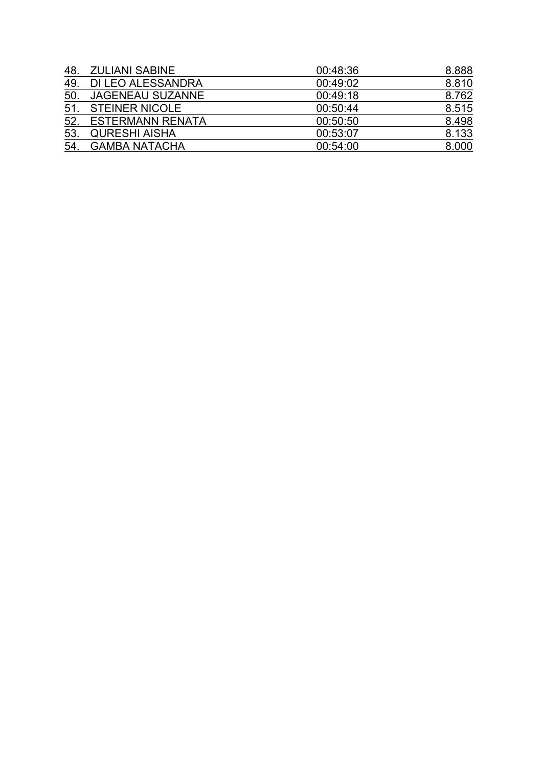| 48. | <b>ZULIANI SABINE</b>   | 00:48:36 | 8.888 |
|-----|-------------------------|----------|-------|
| 49. | DI LEO ALESSANDRA       | 00:49:02 | 8.810 |
| 50  | <b>JAGENEAU SUZANNE</b> | 00:49:18 | 8.762 |
|     | 51. STEINER NICOLE      | 00:50:44 | 8.515 |
|     | 52. ESTERMANN RENATA    | 00:50:50 | 8.498 |
| 53. | <b>QURESHI AISHA</b>    | 00:53:07 | 8.133 |
| 54. | <b>GAMBA NATACHA</b>    | 00:54:00 | 8.000 |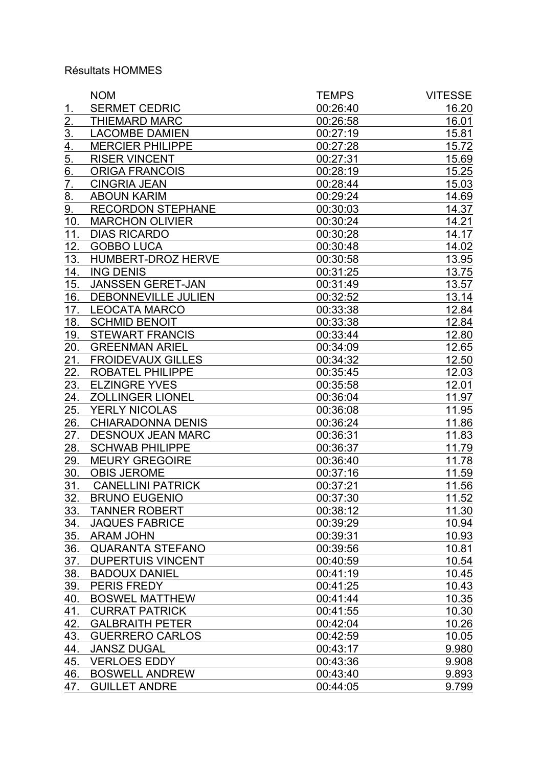## Résultats HOMMES

|                  | <b>NOM</b>                | <b>TEMPS</b> | <b>VITESSE</b> |
|------------------|---------------------------|--------------|----------------|
| <u>1.</u>        | <b>SERMET CEDRIC</b>      | 00:26:40     | 16.20          |
| <u>2.</u>        | <b>THIEMARD MARC</b>      | 00:26:58     | 16.01          |
| $\overline{3}$ . | <b>LACOMBE DAMIEN</b>     | 00:27:19     | 15.81          |
| 4.               | <b>MERCIER PHILIPPE</b>   | 00:27:28     | 15.72          |
| 5.               | <b>RISER VINCENT</b>      | 00:27:31     | 15.69          |
| 6.               | <b>ORIGA FRANCOIS</b>     | 00:28:19     | 15.25          |
| 7.               | <b>CINGRIA JEAN</b>       | 00:28:44     | 15.03          |
| <u>8.</u>        | <b>ABOUN KARIM</b>        | 00:29:24     | 14.69          |
| 9.               | <b>RECORDON STEPHANE</b>  | 00:30:03     | 14.37          |
| 10.              | <b>MARCHON OLIVIER</b>    | 00:30:24     | 14.21          |
| 11.              | <b>DIAS RICARDO</b>       | 00:30:28     | 14.17          |
| 12.              | <b>GOBBO LUCA</b>         | 00:30:48     | 14.02          |
| 13.              | <b>HUMBERT-DROZ HERVE</b> | 00:30:58     | 13.95          |
| 14.              | <b>ING DENIS</b>          | 00:31:25     | 13.75          |
| 15.              | <b>JANSSEN GERET-JAN</b>  | 00:31:49     | 13.57          |
| 16.              | DEBONNEVILLE JULIEN       | 00:32:52     | 13.14          |
| 17.              | <b>LEOCATA MARCO</b>      | 00:33:38     | 12.84          |
| 18.              | <b>SCHMID BENOIT</b>      | 00:33:38     | 12.84          |
| 19.              | <b>STEWART FRANCIS</b>    | 00:33:44     | 12.80          |
| 20.              | <b>GREENMAN ARIEL</b>     | 00:34:09     | 12.65          |
| 21.              | <b>FROIDEVAUX GILLES</b>  | 00:34:32     | 12.50          |
| 22.              | <b>ROBATEL PHILIPPE</b>   | 00:35:45     | 12.03          |
| 23.              | <b>ELZINGRE YVES</b>      | 00:35:58     | 12.01          |
| 24.              | <b>ZOLLINGER LIONEL</b>   | 00:36:04     | 11.97          |
| 25.              | YERLY NICOLAS             | 00:36:08     | <u>11.95</u>   |
| 26.              | <b>CHIARADONNA DENIS</b>  | 00:36:24     | 11.86          |
| 27.              | <b>DESNOUX JEAN MARC</b>  | 00:36:31     | 11.83          |
| 28.              | <b>SCHWAB PHILIPPE</b>    | 00:36:37     | 11.79          |
| 29.              | <b>MEURY GREGOIRE</b>     | 00:36:40     | 11.78          |
| 30.              | <b>OBIS JEROME</b>        | 00:37:16     | 11.59          |
| 31.              | <b>CANELLINI PATRICK</b>  | 00:37:21     | 11.56          |
| 32.              | <b>BRUNO EUGENIO</b>      | 00:37:30     | 11.52          |
| 33.              | <b>TANNER ROBERT</b>      | 00:38:12     | 11.30          |
| 34.              | <b>JAQUES FABRICE</b>     | 00:39:29     | 10.94          |
| 35.              | <b>ARAM JOHN</b>          | 00:39:31     | 10.93          |
| 36.              | <b>QUARANTA STEFANO</b>   | 00:39:56     | 10.81          |
| 37.              | <b>DUPERTUIS VINCENT</b>  | 00:40:59     | 10.54          |
| 38.              | <b>BADOUX DANIEL</b>      | 00:41:19     | 10.45          |
| <u>39.</u>       | PERIS FREDY               | 00:41:25     | 10.43          |
| 40.              | <b>BOSWEL MATTHEW</b>     | 00:41:44     | 10.35          |
| 41.              | <b>CURRAT PATRICK</b>     | 00:41:55     | 10.30          |
| 42.              | <b>GALBRAITH PETER</b>    | 00:42:04     | 10.26          |
| 43.              | <b>GUERRERO CARLOS</b>    | 00:42:59     | 10.05          |
| 44.              | <b>JANSZ DUGAL</b>        | 00:43:17     | 9.980          |
| 45.              | <b>VERLOES EDDY</b>       | 00:43:36     | 9.908          |
| 46.              | <b>BOSWELL ANDREW</b>     | 00:43:40     | 9.893          |
| 47.              | <b>GUILLET ANDRE</b>      | 00:44:05     | 9.799          |
|                  |                           |              |                |